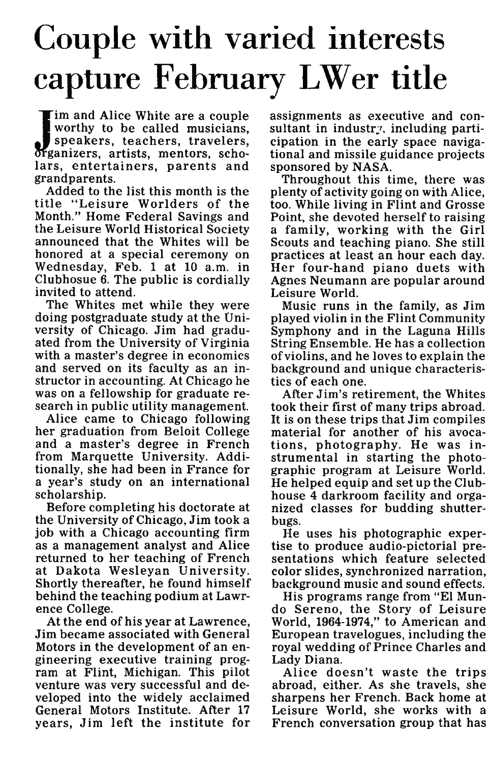## Couple with varied interests capture February LWer title

I'm and Alice White are a couple<br>
worthy to be called musicians,<br>
speakers, teachers, travelers,<br>
organizers, artists, mentors, scho-<br>
lars, entertainers, parents and **im and Alice White are a couple I worthy to be called musicians, | speakers, teachers, travelers, lars, entertainers, parents and grandparents.**

**Added to the list this month is the title "Leisure Worlders of the Month." Home Federal Savings and the Leisure World Historical Society announced that the Whites will be honored at a special ceremony on Wednesday, Feb. 1 at 10 a.m. in Clubhosue 6. The public is cordially invited to attend.**

**The Whites met while they were doing postgraduate study at the University of Chicago. Jim had graduated from the University of Virginia with a master's degree in economics and served on its faculty as an instructor in accounting. At Chicago he was on a fellowship for graduate research in public utility management.**

**Alice came to Chicago following her graduation from Beloit College and a master's degree in French from Marquette University. Additionally, she had been in France for a year's study on an international scholarship.**

**Before completing his doctorate at the University of Chicago, Jim took a job with a Chicago accounting firm as a management analyst and Alice returned to her teaching of French at Dakota Wesleyan University. Shortly thereafter, he found himself behind the teaching podium at Lawrence College.**

**At the end of his year at Lawrence, Jim became associated with General Motors in the development of an engineering executive training program at Flint, Michigan. This pilot venture was very successful and developed into the widely acclaimed General Motors Institute. After 17 years, Jim left the institute for** **assignments as executive and consultant in industry, including participation in the early space navigational and missile guidance projects sponsored by NASA.**

**Throughout this time, there was plenty of activity going on with Alice, too. While living in Flint and Grosse Point, she devoted herself to raising a family, working with the Girl Scouts and teaching piano. She still practices at least an hour each day. Her four-hand piano duets with Agnes Neumann are popular around Leisure World.**

**Music runs in the family, as Jim played violin in the Flint Community Symphony and in the Laguna Hills String Ensemble. He has a collection of violins, and he loves to explain the background and unique characteristics of each one.**

**After Jim's retirement, the Whites took their first of many trips abroad. It is on these trips that Jim compiles material for another of his avocations, photography. He was instrumental in starting the photographic program at Leisure World. He helped equip and set up the Clubhouse 4 darkroom facility and organized classes for budding shutterbugs.**

**He uses his photographic expertise to produce audio-pictorial presentations which feature selected color slides, synchronized narration, background music and sound effects.**

**His programs range from "El Mundo Sereno, the Story of Leisure World, 1964-1974," to American and European travelogues, including the royal wedding of Prince Charles and Lady Diana.**

**Alice doesn't waste the trips abroad, either. As she travels, she sharpens her French. Back home at Leisure World, she works with a French conversation group that has**